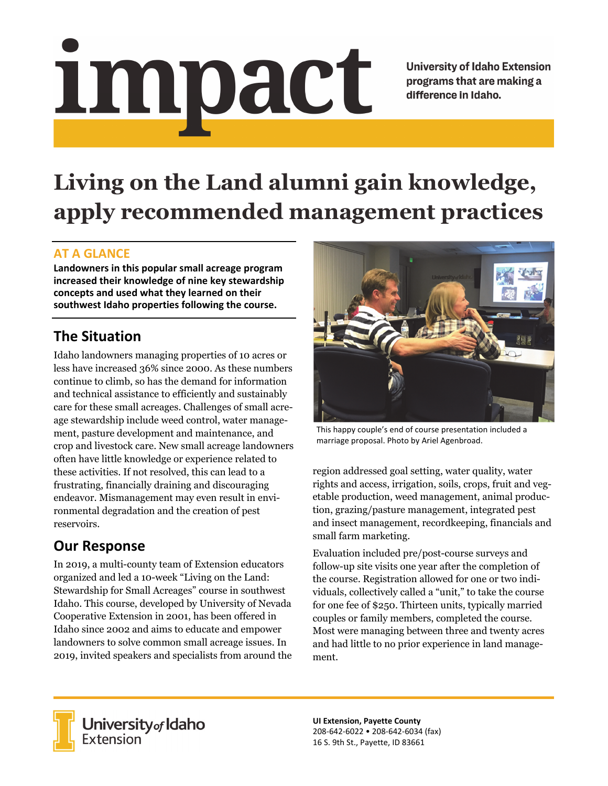# <u>impact</u>

**University of Idaho Extension** programs that are making a difference in Idaho.

# **Living on the Land alumni gain knowledge, apply recommended management practices**

#### **AT A GLANCE**

**Landowners in this popular small acreage program increased their knowledge of nine key stewardship concepts and used what they learned on their southwest Idaho properties following the course.** 

## **The Situation**

Idaho landowners managing properties of 10 acres or less have increased 36% since 2000. As these numbers continue to climb, so has the demand for information and technical assistance to efficiently and sustainably care for these small acreages. Challenges of small acreage stewardship include weed control, water management, pasture development and maintenance, and crop and livestock care. New small acreage landowners often have little knowledge or experience related to these activities. If not resolved, this can lead to a frustrating, financially draining and discouraging endeavor. Mismanagement may even result in environmental degradation and the creation of pest reservoirs.

### **Our Response**

In 2019, a multi-county team of Extension educators organized and led a 10-week "Living on the Land: Stewardship for Small Acreages" course in southwest Idaho. This course, developed by University of Nevada Cooperative Extension in 2001, has been offered in Idaho since 2002 and aims to educate and empower landowners to solve common small acreage issues. In 2019, invited speakers and specialists from around the



This happy couple's end of course presentation included a marriage proposal. Photo by Ariel Agenbroad.

region addressed goal setting, water quality, water rights and access, irrigation, soils, crops, fruit and vegetable production, weed management, animal production, grazing/pasture management, integrated pest and insect management, recordkeeping, financials and small farm marketing.

Evaluation included pre/post-course surveys and follow-up site visits one year after the completion of the course. Registration allowed for one or two individuals, collectively called a "unit," to take the course for one fee of \$250. Thirteen units, typically married couples or family members, completed the course. Most were managing between three and twenty acres and had little to no prior experience in land management.



**University** of Idaho<br>Extension

**UI Extension, Payette County**  208‐642‐6022 • 208‐642‐6034 (fax) 16 S. 9th St., Payette, ID 83661